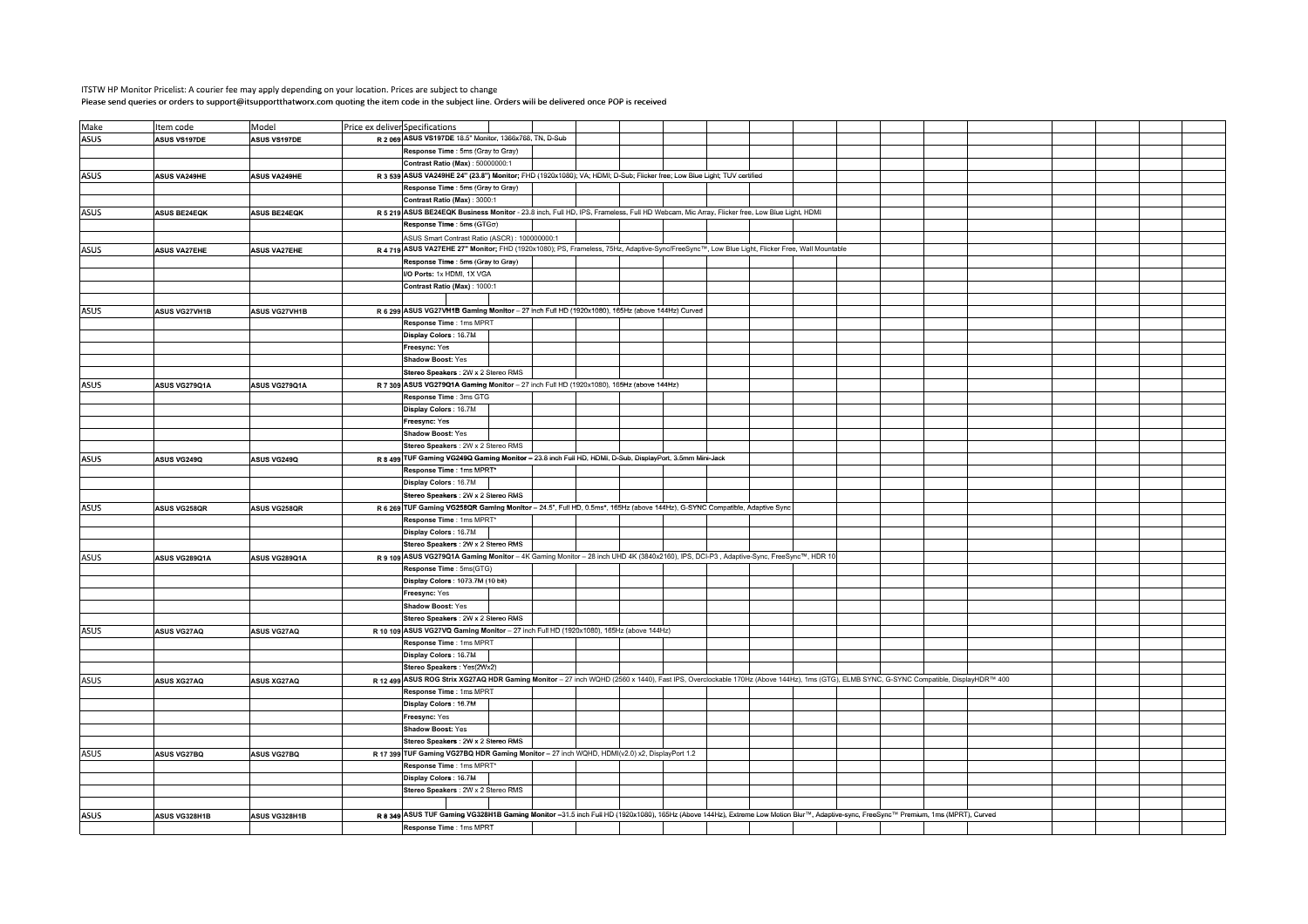## ITSTW HP Monitor Pricelist: A courier fee may apply depending on your location. Prices are subject to changePlease send queries or orders to support@itsupportthatworx.com quoting the item code in the subject line. Orders will be delivered once POP is received

| Make        | Item code            | Model                | Price ex deliver Specifications                                                                                                                                                       |  |  |  |  |  |  |  |  |
|-------------|----------------------|----------------------|---------------------------------------------------------------------------------------------------------------------------------------------------------------------------------------|--|--|--|--|--|--|--|--|
| <b>ASUS</b> | <b>ASUS VS197DE</b>  | ASUS VS197DE         | R 2 069 ASUS VS197DE 18.5" Monitor, 1366x768, TN, D-Sub                                                                                                                               |  |  |  |  |  |  |  |  |
|             |                      |                      | Response Time : 5ms (Gray to Gray)                                                                                                                                                    |  |  |  |  |  |  |  |  |
|             |                      |                      | Contrast Ratio (Max): 50000000:1                                                                                                                                                      |  |  |  |  |  |  |  |  |
| ASUS        | <b>ASUS VA249HE</b>  | <b>ASUS VA249HE</b>  | R 3 539 ASUS VA249HE 24" (23.8") Monitor; FHD (1920x1080); VA; HDMI; D-Sub; Flicker free; Low Blue Light; TUV certified                                                               |  |  |  |  |  |  |  |  |
|             |                      |                      | Response Time : 5ms (Gray to Gray)                                                                                                                                                    |  |  |  |  |  |  |  |  |
|             |                      |                      | Contrast Ratio (Max): 3000:1                                                                                                                                                          |  |  |  |  |  |  |  |  |
| ASUS        | <b>ASUS BE24EQK</b>  | ASUS BE24EQK         | R 5 219 ASUS BE24EQK Business Monitor - 23.8 inch, Full HD, IPS, Frameless, Full HD Webcam, Mic Array, Flicker free, Low Blue Light, HDMI                                             |  |  |  |  |  |  |  |  |
|             |                      |                      | Response Time : 5ms (GTGo)                                                                                                                                                            |  |  |  |  |  |  |  |  |
|             |                      |                      | ASUS Smart Contrast Ratio (ASCR): 100000000:1                                                                                                                                         |  |  |  |  |  |  |  |  |
|             |                      |                      | R 4 719 ASUS VA27EHE 27" Monitor; FHD (1920x1080); PS, Frameless, 75Hz, Adaptive-Sync/FreeSync™, Low Blue Light, Flicker Free, Wall Mountable                                         |  |  |  |  |  |  |  |  |
| ASUS        | <b>ASUS VA27EHE</b>  | <b>ASUS VA27EHE</b>  |                                                                                                                                                                                       |  |  |  |  |  |  |  |  |
|             |                      |                      | Response Time : 5ms (Gray to Gray)<br>I/O Ports: 1x HDMI, 1X VGA                                                                                                                      |  |  |  |  |  |  |  |  |
|             |                      |                      |                                                                                                                                                                                       |  |  |  |  |  |  |  |  |
|             |                      |                      | Contrast Ratio (Max): 1000:1                                                                                                                                                          |  |  |  |  |  |  |  |  |
|             |                      |                      |                                                                                                                                                                                       |  |  |  |  |  |  |  |  |
| ASUS        | <b>ASUS VG27VH1B</b> | <b>ASUS VG27VH1B</b> | R 6 299 ASUS VG27VH1B Gaming Monitor - 27 inch Full HD (1920x1080), 165Hz (above 144Hz) Curved                                                                                        |  |  |  |  |  |  |  |  |
|             |                      |                      | Response Time : 1ms MPRT                                                                                                                                                              |  |  |  |  |  |  |  |  |
|             |                      |                      | Display Colors: 16.7M                                                                                                                                                                 |  |  |  |  |  |  |  |  |
|             |                      |                      | F <b>reesync:</b> Yes                                                                                                                                                                 |  |  |  |  |  |  |  |  |
|             |                      |                      | <b>Shadow Boost: Yes</b>                                                                                                                                                              |  |  |  |  |  |  |  |  |
|             |                      |                      | Stereo Speakers : 2W x 2 Stereo RMS                                                                                                                                                   |  |  |  |  |  |  |  |  |
| ASUS        | ASUS VG279Q1A        | ASUS VG279Q1A        | R 7 309 ASUS VG279Q1A Gaming Monitor - 27 inch Full HD (1920x1080), 165Hz (above 144Hz)                                                                                               |  |  |  |  |  |  |  |  |
|             |                      |                      | Response Time : 3ms GTG                                                                                                                                                               |  |  |  |  |  |  |  |  |
|             |                      |                      | Display Colors: 16.7M                                                                                                                                                                 |  |  |  |  |  |  |  |  |
|             |                      |                      | Freesync: Yes                                                                                                                                                                         |  |  |  |  |  |  |  |  |
|             |                      |                      | Shadow Boost: Yes                                                                                                                                                                     |  |  |  |  |  |  |  |  |
|             |                      |                      | Stereo Speakers : 2W x 2 Stereo RMS                                                                                                                                                   |  |  |  |  |  |  |  |  |
| ASUS        | ASUS VG249Q          | ASUS VG249Q          | R 8 499 TUF Gaming VG249Q Gaming Monitor - 23.8 inch Full HD, HDMI, D-Sub, DisplayPort, 3.5mm Mini-Jack                                                                               |  |  |  |  |  |  |  |  |
|             |                      |                      | Response Time : 1ms MPRT*                                                                                                                                                             |  |  |  |  |  |  |  |  |
|             |                      |                      | Display Colors: 16.7M                                                                                                                                                                 |  |  |  |  |  |  |  |  |
|             |                      |                      | Stereo Speakers : 2W x 2 Stereo RMS                                                                                                                                                   |  |  |  |  |  |  |  |  |
| ASUS        | ASUS VG258QR         | ASUS VG258QR         | R 6 269 TUF Gaming VG258QR Gaming Monitor - 24.5", Full HD, 0.5ms*, 165Hz (above 144Hz), G-SYNC Compatible, Adaptive Sync                                                             |  |  |  |  |  |  |  |  |
|             |                      |                      | Response Time : 1ms MPRT*                                                                                                                                                             |  |  |  |  |  |  |  |  |
|             |                      |                      | Display Colors : 16.7M                                                                                                                                                                |  |  |  |  |  |  |  |  |
|             |                      |                      | Stereo Speakers : 2W x 2 Stereo RMS                                                                                                                                                   |  |  |  |  |  |  |  |  |
| ASUS        | ASUS VG289Q1A        | ASUS VG289Q1A        | R 9 109 ASUS VG279Q1A Gaming Monitor - 4K Gaming Monitor - 28 inch UHD 4K (3840x2160), IPS, DCI-P3, Adaptive-Sync, FreeSync™, HDR 10                                                  |  |  |  |  |  |  |  |  |
|             |                      |                      | Response Time : 5ms(GTG)                                                                                                                                                              |  |  |  |  |  |  |  |  |
|             |                      |                      | Display Colors: 1073.7M (10 bit)                                                                                                                                                      |  |  |  |  |  |  |  |  |
|             |                      |                      | F <b>reesync:</b> Yes                                                                                                                                                                 |  |  |  |  |  |  |  |  |
|             |                      |                      | Shadow Boost: Yes                                                                                                                                                                     |  |  |  |  |  |  |  |  |
|             |                      |                      | Stereo Speakers : 2W x 2 Stereo RMS                                                                                                                                                   |  |  |  |  |  |  |  |  |
| ASUS        | <b>ASUS VG27AQ</b>   | ASUS VG27AQ          | R 10 109 ASUS VG27VQ Gaming Monitor - 27 inch Full HD (1920x1080), 165Hz (above 144Hz)                                                                                                |  |  |  |  |  |  |  |  |
|             |                      |                      | Response Time : 1ms MPRT                                                                                                                                                              |  |  |  |  |  |  |  |  |
|             |                      |                      | Display Colors: 16.7M                                                                                                                                                                 |  |  |  |  |  |  |  |  |
|             |                      |                      | Stereo Speakers: Yes(2Wx2)                                                                                                                                                            |  |  |  |  |  |  |  |  |
| ASUS        | <b>ASUS XG27AQ</b>   | <b>ASUS XG27AQ</b>   | R 12 499 ASUS ROG Strix XG27AQ HDR Gaming Monitor - 27 inch WQHD (2560 x 1440), Fast IPS, Overclockable 170Hz (Above 144Hz), 1ms (GTG), ELMB SYNC, G-SYNC Compatible, DisplayHDR™ 400 |  |  |  |  |  |  |  |  |
|             |                      |                      | Response Time : 1ms MPRT                                                                                                                                                              |  |  |  |  |  |  |  |  |
|             |                      |                      | Display Colors: 16.7M                                                                                                                                                                 |  |  |  |  |  |  |  |  |
|             |                      |                      | Freesync: Yes                                                                                                                                                                         |  |  |  |  |  |  |  |  |
|             |                      |                      | Shadow Boost: Yes                                                                                                                                                                     |  |  |  |  |  |  |  |  |
|             |                      |                      | Stereo Speakers : 2W x 2 Stereo RMS                                                                                                                                                   |  |  |  |  |  |  |  |  |
| ASUS        | <b>ASUS VG27BQ</b>   | <b>ASUS VG27BQ</b>   | R 17 399 TUF Gaming VG27BQ HDR Gaming Monitor - 27 inch WQHD, HDMI(v2.0) x2, DisplayPort 1.2                                                                                          |  |  |  |  |  |  |  |  |
|             |                      |                      | Response Time : 1ms MPRT'                                                                                                                                                             |  |  |  |  |  |  |  |  |
|             |                      |                      | Display Colors: 16.7M                                                                                                                                                                 |  |  |  |  |  |  |  |  |
|             |                      |                      | Stereo Speakers : 2W x 2 Stereo RMS                                                                                                                                                   |  |  |  |  |  |  |  |  |
|             |                      |                      |                                                                                                                                                                                       |  |  |  |  |  |  |  |  |
| <b>ASUS</b> |                      |                      | R 8 349 ASUS TUF Gaming VG328H1B Gaming Monitor -31.5 inch Full HD (1920x1080), 165Hz (Above 144Hz), Extreme Low Motion Blur™, Adaptive-sync, FreeSync™ Premium, 1ms (MPRT), Curved   |  |  |  |  |  |  |  |  |
|             | ASUS VG328H1B        | <b>ASUS VG328H1B</b> |                                                                                                                                                                                       |  |  |  |  |  |  |  |  |
|             |                      |                      | Response Time : 1ms MPRT                                                                                                                                                              |  |  |  |  |  |  |  |  |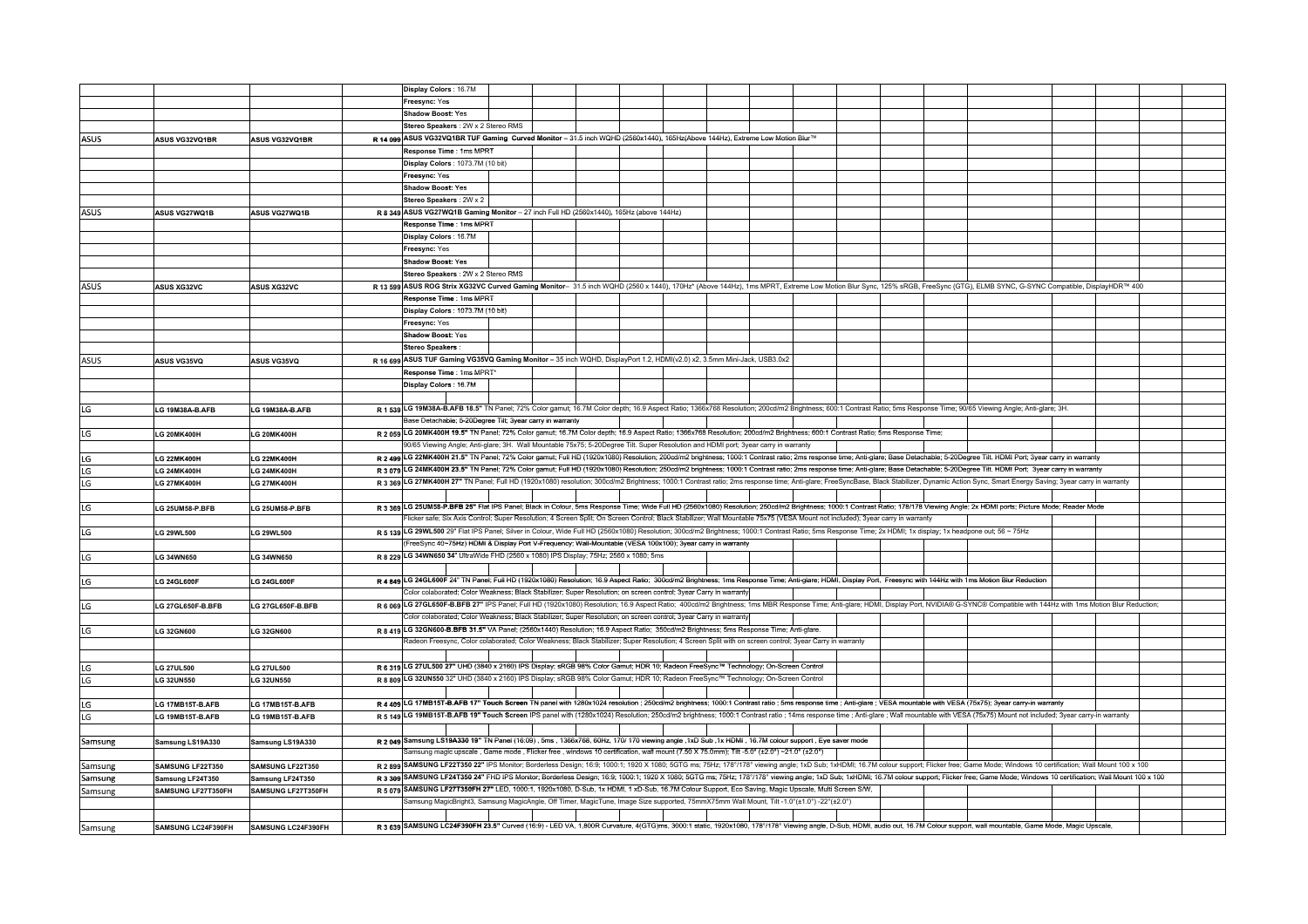|             |                         |                      | Display Colors: 16.7M                                                                                                                                                                                                          |  |  |  |  |  |  |  |  |
|-------------|-------------------------|----------------------|--------------------------------------------------------------------------------------------------------------------------------------------------------------------------------------------------------------------------------|--|--|--|--|--|--|--|--|
|             |                         |                      | Freesync: Yes                                                                                                                                                                                                                  |  |  |  |  |  |  |  |  |
|             |                         |                      | <b>Shadow Boost:</b> Yes                                                                                                                                                                                                       |  |  |  |  |  |  |  |  |
|             |                         |                      | Stereo Speakers : 2W x 2 Stereo RMS                                                                                                                                                                                            |  |  |  |  |  |  |  |  |
| <b>ASUS</b> | ASUS VG32VQ1BR          | ASUS VG32VQ1BR       | R 14 099 ASUS VG32VQ1BR TUF Gaming Curved Monitor - 31.5 inch WQHD (2560x1440), 165Hz(Above 144Hz), Extreme Low Motion Blur™                                                                                                   |  |  |  |  |  |  |  |  |
|             |                         |                      | Response Time: 1ms MPRT                                                                                                                                                                                                        |  |  |  |  |  |  |  |  |
|             |                         |                      |                                                                                                                                                                                                                                |  |  |  |  |  |  |  |  |
|             |                         |                      | Display Colors: 1073.7M (10 bit)                                                                                                                                                                                               |  |  |  |  |  |  |  |  |
|             |                         |                      | Freesync: Yes                                                                                                                                                                                                                  |  |  |  |  |  |  |  |  |
|             |                         |                      | <b>Shadow Boost: Yes</b>                                                                                                                                                                                                       |  |  |  |  |  |  |  |  |
|             |                         |                      | Stereo Speakers : 2W x 2                                                                                                                                                                                                       |  |  |  |  |  |  |  |  |
| <b>ASUS</b> | ASUS VG27WQ1B           | <b>ASUS VG27WQ1B</b> | R 8 349 ASUS VG27WQ1B Gaming Monitor - 27 inch Full HD (2560x1440), 165Hz (above 144Hz)                                                                                                                                        |  |  |  |  |  |  |  |  |
|             |                         |                      | Response Time : 1ms MPRT                                                                                                                                                                                                       |  |  |  |  |  |  |  |  |
|             |                         |                      | Display Colors: 16.7M                                                                                                                                                                                                          |  |  |  |  |  |  |  |  |
|             |                         |                      |                                                                                                                                                                                                                                |  |  |  |  |  |  |  |  |
|             |                         |                      | Freesync: Yes                                                                                                                                                                                                                  |  |  |  |  |  |  |  |  |
|             |                         |                      | <b>Shadow Boost: Yes</b>                                                                                                                                                                                                       |  |  |  |  |  |  |  |  |
|             |                         |                      | Stereo Speakers : 2W x 2 Stereo RMS                                                                                                                                                                                            |  |  |  |  |  |  |  |  |
| ASUS        | <b>ASUS XG32VC</b>      | <b>ASUS XG32VC</b>   | R 13 599 ASUS ROG Strix XG32VC Curved Gaming Monitor- 31.5 inch WQHD (2560 x 1440), 170Hz* (Above 144Hz), 1ms MPRT, Extreme Low Motion Blur Sync, 125% sRGB, FreeSync (GTG), ELMB SYNC, G-SYNC Compatible, DisplayHDR™ 400     |  |  |  |  |  |  |  |  |
|             |                         |                      | Response Time : 1ms MPRT                                                                                                                                                                                                       |  |  |  |  |  |  |  |  |
|             |                         |                      | Display Colors : 1073.7M (10 bit)                                                                                                                                                                                              |  |  |  |  |  |  |  |  |
|             |                         |                      | Freesync: Yes                                                                                                                                                                                                                  |  |  |  |  |  |  |  |  |
|             |                         |                      |                                                                                                                                                                                                                                |  |  |  |  |  |  |  |  |
|             |                         |                      | Shadow Boost: Yes                                                                                                                                                                                                              |  |  |  |  |  |  |  |  |
|             |                         |                      | <b>Stereo Speakers :</b>                                                                                                                                                                                                       |  |  |  |  |  |  |  |  |
| ASUS        | <b>ASUS VG35VQ</b>      | <b>ASUS VG35VQ</b>   | R 16 699 ASUS TUF Gaming VG35VQ Gaming Monitor - 35 inch WQHD, DisplayPort 1.2, HDMI(v2.0) x2, 3.5mm Mini-Jack, USB3.0x2                                                                                                       |  |  |  |  |  |  |  |  |
|             |                         |                      | Response Time : 1ms MPRT*                                                                                                                                                                                                      |  |  |  |  |  |  |  |  |
|             |                         |                      | Display Colors : 16.7M                                                                                                                                                                                                         |  |  |  |  |  |  |  |  |
|             |                         |                      |                                                                                                                                                                                                                                |  |  |  |  |  |  |  |  |
| LG          | LG 19M38A-B.AFB         | LG 19M38A-B.AFB      | R 1 539 LG 19M38A-B.AFB 18.5" TN Panel; 72% Color gamut; 16.7M Color depth; 16.9 Aspect Ratio; 1366x768 Resolution; 200cd/m2 Brightness; 600:1 Contrast Ratio; 5ms Response Time; 90/65 Viewing Angle; Anti-glare; 3H.         |  |  |  |  |  |  |  |  |
|             |                         |                      | Base Detachable; 5-20Degree Tilt; 3year carry in warranty                                                                                                                                                                      |  |  |  |  |  |  |  |  |
|             |                         |                      | R 2 059 LG 20MK400H 19.5" TN Panel; 72% Color gamut; 16.7M Color depth; 16.9 Aspect Ratio; 1366x768 Resolution; 200cd/m2 Brightness; 600:1 Contrast Ratio; 5ms Response Time;                                                  |  |  |  |  |  |  |  |  |
| LG          | <b>LG 20MK400H</b>      | <b>LG 20MK400H</b>   |                                                                                                                                                                                                                                |  |  |  |  |  |  |  |  |
|             |                         |                      | 90/65 Viewing Angle; Anti-glare; 3H. Wall Mountable 75x75; 5-20Degree Tilt. Super Resolution and HDMI port; 3year carry in warranty                                                                                            |  |  |  |  |  |  |  |  |
| LG          | <b>LG 22MK400H</b>      | <b>LG 22MK400H</b>   | R 2 499 LG 22MK400H 21.5" TN Panel; 72% Color gamut; Full HD (1920x1080) Resolution; 200cd/m2 brightness; 1000:1 Contrast ratio; 2ms response time; Anti-glare; Base Detachable; 5-20Degree Tilt. HDMI Port; 3year carry in wa |  |  |  |  |  |  |  |  |
| LG          | <b>LG 24MK400H</b>      | <b>LG 24MK400H</b>   | R 3 079 LG 24MK400H 23.5" TN Panel; 72% Color gamut; Full HD (1920x1080) Resolution; 250cd/m2 brightness; 1000:1 Contrast ratio; 2ms response time; Anti-glare; Base Detachable; 5-20Degree Tilt. HDMI Port; 3year carry in wa |  |  |  |  |  |  |  |  |
| LG          | <b>LG 27MK400H</b>      | <b>LG 27MK400H</b>   | R 3 369 LG 27MK400H 27" TN Panel; Full HD (1920x1080) resolution; 300cd/m2 Brightness; 1000:1 Contrast ratio; 2ms response time; Anti-glare; FreeSyncBase, Black Stabilizer, Dynamic Action Sync, Smart Energy Saving; 3year c |  |  |  |  |  |  |  |  |
|             |                         |                      |                                                                                                                                                                                                                                |  |  |  |  |  |  |  |  |
| LG          | <b>LG 25UM58-P.BFB</b>  | LG 25UM58-P.BFB      | R 3 369 LG 25UM58-P.BFB 25" Flat IPS Panel, Black in Colour, 5ms Response Time; Wide Full HD (2560x1080) Resolution; 250cd/m2 Brightness; 1000:1 Contrast Ratio; 178/178 Viewing Angle; 2x HDMI ports; Picture Mode; Reader Mo |  |  |  |  |  |  |  |  |
|             |                         |                      | licker safe; Six Axis Control; Super Resolution; 4 Screen Split; On Screen Control; Black Stabilizer; Wall Mountable 75x75 (VESA Mount not included); 3year carry in warranty                                                  |  |  |  |  |  |  |  |  |
|             |                         |                      |                                                                                                                                                                                                                                |  |  |  |  |  |  |  |  |
| LG          | <b>LG 29WL500</b>       | <b>LG 29WL500</b>    | R 5 139 LG 29WL500 29" Flat IPS Panel; Silver in Colour, Wide Full HD (2560x1080) Resolution; 300cd/m2 Brightness; 1000:1 Contrast Ratio; 5ms Response Time; 2x HDMI; 1x display; 1x headpone out; 56 ~ 75Hz                   |  |  |  |  |  |  |  |  |
|             |                         |                      | FreeSync 40∼75Hz) HDMi & Display Port V-Frequency; Wall-Mountable (VESA 100x100); 3year carry in warranty                                                                                                                      |  |  |  |  |  |  |  |  |
| LG          | <b>LG 34WN650</b>       | <b>LG 34WN650</b>    | R 8 229 LG 34WN650 34" UltraWide FHD (2560 x 1080) IPS Display; 75Hz; 2560 x 1080; 5ms                                                                                                                                         |  |  |  |  |  |  |  |  |
|             |                         |                      |                                                                                                                                                                                                                                |  |  |  |  |  |  |  |  |
| LG          | <b>LG 24GL600F</b>      | <b>LG 24GL600F</b>   | R 4 849 LG 24GL600F 24" TN Panel; Full HD (1920x1080) Resolution; 16.9 Aspect Ratio; 300cd/m2 Brightness; 1ms Response Time; Anti-glare; HDMI, Display Port, Freesync with 144Hz with 1ms Motion Blur Reduction                |  |  |  |  |  |  |  |  |
|             |                         |                      | Color colaborated; Color Weakness; Black Stabilizer; Super Resolution; on screen control; 3year Carry in warranty                                                                                                              |  |  |  |  |  |  |  |  |
| LG          | LG 27GL650F-B.BFB       | LG 27GL650F-B.BFB    | R 6 069 LG 27GL650F-B.BFB 27" IPS Panel; Full HD (1920x1080) Resolution; 16.9 Aspect Ratio; 400cd/m2 Brightness; 1ms MBR Response Time; Anti-glare; HDMI, Display Port, NVIDIA® G-SYNC® Compatible with 144Hz with 1ms Motion  |  |  |  |  |  |  |  |  |
|             |                         |                      | Color colaborated; Color Weakness; Black Stabilizer; Super Resolution; on screen control; 3year Carry in warranty                                                                                                              |  |  |  |  |  |  |  |  |
|             |                         |                      | R 8 419 LG 32GN600-B.BFB 31.5" VA Panel; (2560x1440) Resolution; 16.9 Aspect Ratio; 350cd/m2 Brightness; 5ms Response Time; Anti-glare.                                                                                        |  |  |  |  |  |  |  |  |
| LG          | <b>LG 32GN600</b>       | <b>LG 32GN600</b>    |                                                                                                                                                                                                                                |  |  |  |  |  |  |  |  |
|             |                         |                      | kadeon Freesync, Color colaborated; Color Weakness; Black Stabilizer; Super Resolution; 4 Screen Split with on screen control; 3year Carry in warranty                                                                         |  |  |  |  |  |  |  |  |
|             |                         |                      |                                                                                                                                                                                                                                |  |  |  |  |  |  |  |  |
| LG          | <b>LG 27UL500</b>       | <b>LG 27UL500</b>    | R 6 319 LG 27UL500 27" UHD (3840 x 2160) IPS Display; sRGB 98% Color Gamut; HDR 10; Radeon FreeSync™ Technology; On-Screen Control                                                                                             |  |  |  |  |  |  |  |  |
| LG          | <b>LG 32UN550</b>       | <b>LG 32UN550</b>    | R 8 809 LG 32UN550 32" UHD (3840 x 2160) IPS Display; sRGB 98% Color Gamut; HDR 10; Radeon FreeSync™ Technology; On-Screen Control                                                                                             |  |  |  |  |  |  |  |  |
|             |                         |                      |                                                                                                                                                                                                                                |  |  |  |  |  |  |  |  |
| LG          | LG 17MB15T-B.AFB        | LG 17MB15T-B.AFB     | R 4 409 LG 17MB15T B AFB 17" Touch Screen TN panel with 1280x1024 resolution; 250cd/m2 brightness; 1000:1 Contrast ratio; 5ms response time; Anti-glare; VESA mountable with VESA (75x75); 3year carry-in warranty             |  |  |  |  |  |  |  |  |
| LG          |                         |                      | R 5 149 LG 19MB15T-B.AFB 19" Touch Screen IPS panel with (1280x1024) Resolution; 250cd/m2 brightness; 1000:1 Contrast ratio; 14ms response time; Anti-glare; Wall mountable with VESA (75x75) Mount not included; 3year carry- |  |  |  |  |  |  |  |  |
|             | LG 19MB15T-B.AFB        | LG 19MB15T-B.AFB     |                                                                                                                                                                                                                                |  |  |  |  |  |  |  |  |
|             |                         |                      |                                                                                                                                                                                                                                |  |  |  |  |  |  |  |  |
| Samsung     | Samsung LS19A330        | Samsung LS19A330     | R 2 049 Samsung LS19A330 19" TN Panel (16:09) , 5ms , 1366x768, 60Hz, 170/ 170 viewing angle , 1xD Sub , 1x HDMI , 16.7M colour support , Eye saver mode                                                                       |  |  |  |  |  |  |  |  |
|             |                         |                      | iamsung magic upscale,Game mode,Flicker free,windows 10 certification, wall mount (7.50 X 75.0mm); Tilt -5.0° (±2.0°) ~21.0° (±2.0°)                                                                                           |  |  |  |  |  |  |  |  |
| Samsung     | <b>SAMSUNG LF22T350</b> | SAMSUNG LF22T350     | R 2 899 SAMSUNG LF22T350 22" IPS Monitor; Borderless Design; 16:9; 1000:1; 1920 X 1080; 5GTG ms; 75Hz; 178°/178° viewing angle; 1xD Sub; 1xHDMI; 16.7M colour support; Flicker free; Game Mode; Windows 10 certification; Wall |  |  |  |  |  |  |  |  |
| Samsung     | Samsung LF24T350        | Samsung LF24T350     | R 3 309 SAMSUNG LF24T350 24" FHD IPS Monitor; Borderless Design; 16:9; 1000:1; 1920 X 1080; 5GTG ms; 75Hz; 178°/178° viewing angle; 1xD Sub; 1xHDMI; 16.7M colour support; Flicker free; Game Mode; Windows 10 certification;  |  |  |  |  |  |  |  |  |
| Samsung     | SAMSUNG LF27T350FH      | SAMSUNG LF27T350FH   | R 5 079 SAMSUNG LF27T350FH 27" LED, 1000:1, 1920x1080, D-Sub, 1x HDMI, 1 xD-Sub, 16.7M Colour Support, Eco Saving, Magic Upscale, Multi Screen S/W,                                                                            |  |  |  |  |  |  |  |  |
|             |                         |                      | 32°/41.0°/amsung MagicBright3, Samsung MagicAngle, Off Timer, MagicTune, Image Size supported, 75mmX75mm Wall Mount, Tilt -1.0°(±1.0°) -22°(±2.0°)                                                                             |  |  |  |  |  |  |  |  |
|             |                         |                      |                                                                                                                                                                                                                                |  |  |  |  |  |  |  |  |
|             |                         |                      |                                                                                                                                                                                                                                |  |  |  |  |  |  |  |  |
| Samsung     | SAMSUNG LC24F390FH      | SAMSUNG LC24F390FH   | R 3 639 SAMSUNG LC24F390FH 23.5" Curved (16:9) - LED VA, 1,800R Curvature, 4(GTG)ms, 3000:1 static, 1920x1080, 178°/178° Viewing angle, D-Sub, HDMI, audio out, 16.7M Colour support, wall mountable, Game Mode, Magic Upscale |  |  |  |  |  |  |  |  |